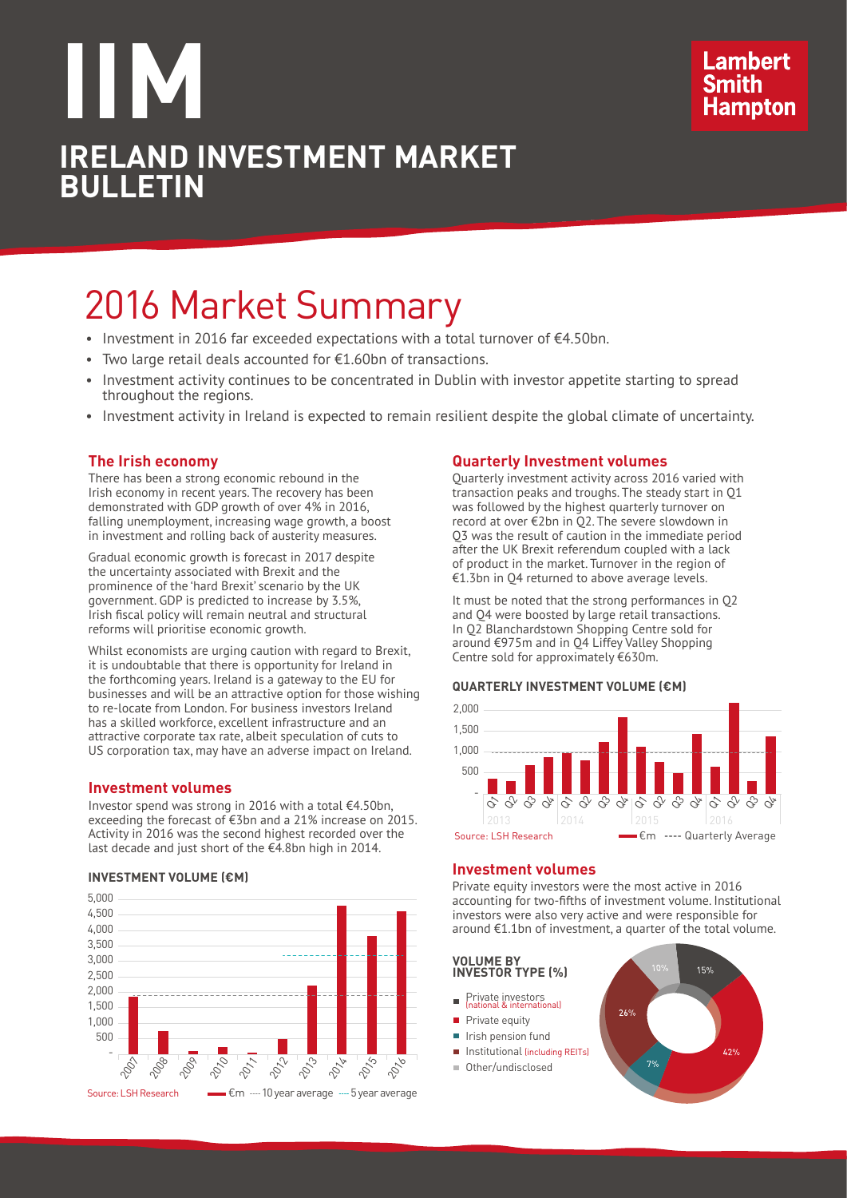## **IIM IRELAND INVESTMENT MARKET BULLETIN**

### **Lambert Hampton**

## 2016 Market Summary

- Investment in 2016 far exceeded expectations with a total turnover of  $€4.50$ bn.
- Two large retail deals accounted for €1.60bn of transactions.
- Investment activity continues to be concentrated in Dublin with investor appetite starting to spread throughout the regions.
- • Investment activity in Ireland is expected to remain resilient despite the global climate of uncertainty.

#### **The Irish economy**

There has been a strong economic rebound in the Irish economy in recent years. The recovery has been demonstrated with GDP growth of over 4% in 2016, falling unemployment, increasing wage growth, a boost in investment and rolling back of austerity measures.

Gradual economic growth is forecast in 2017 despite the uncertainty associated with Brexit and the prominence of the 'hard Brexit' scenario by the UK government. GDP is predicted to increase by 3.5%, Irish fiscal policy will remain neutral and structural reforms will prioritise economic growth.

Whilst economists are urging caution with regard to Brexit, it is undoubtable that there is opportunity for Ireland in the forthcoming years. Ireland is a gateway to the EU for businesses and will be an attractive option for those wishing to re-locate from London. For business investors Ireland has a skilled workforce, excellent infrastructure and an attractive corporate tax rate, albeit speculation of cuts to US corporation tax, may have an adverse impact on Ireland.

#### **Investment volumes**

Investor spend was strong in 2016 with a total €4.50bn, exceeding the forecast of €3bn and a 21% increase on 2015. Activity in 2016 was the second highest recorded over the last decade and just short of the  $\epsilon$ 4.8bn high in 2014.

#### **INVESTMENT VOLUME (€M)**



#### **Quarterly Investment volumes**

Quarterly investment activity across 2016 varied with transaction peaks and troughs. The steady start in Q1 was followed by the highest quarterly turnover on record at over €2bn in Q2. The severe slowdown in Q3 was the result of caution in the immediate period after the UK Brexit referendum coupled with a lack of product in the market. Turnover in the region of €1.3bn in Q4 returned to above average levels.

It must be noted that the strong performances in Q2 and Q4 were boosted by large retail transactions. In Q2 Blanchardstown Shopping Centre sold for around €975m and in Q4 Liffey Valley Shopping Centre sold for approximately €630m.

#### **QUARTERLY INVESTMENT VOLUME (€M)**



#### **Investment volumes**

Private equity investors were the most active in 2016 accounting for two-fifths of investment volume. Institutional investors were also very active and were responsible for around €1.1bn of investment, a quarter of the total volume.

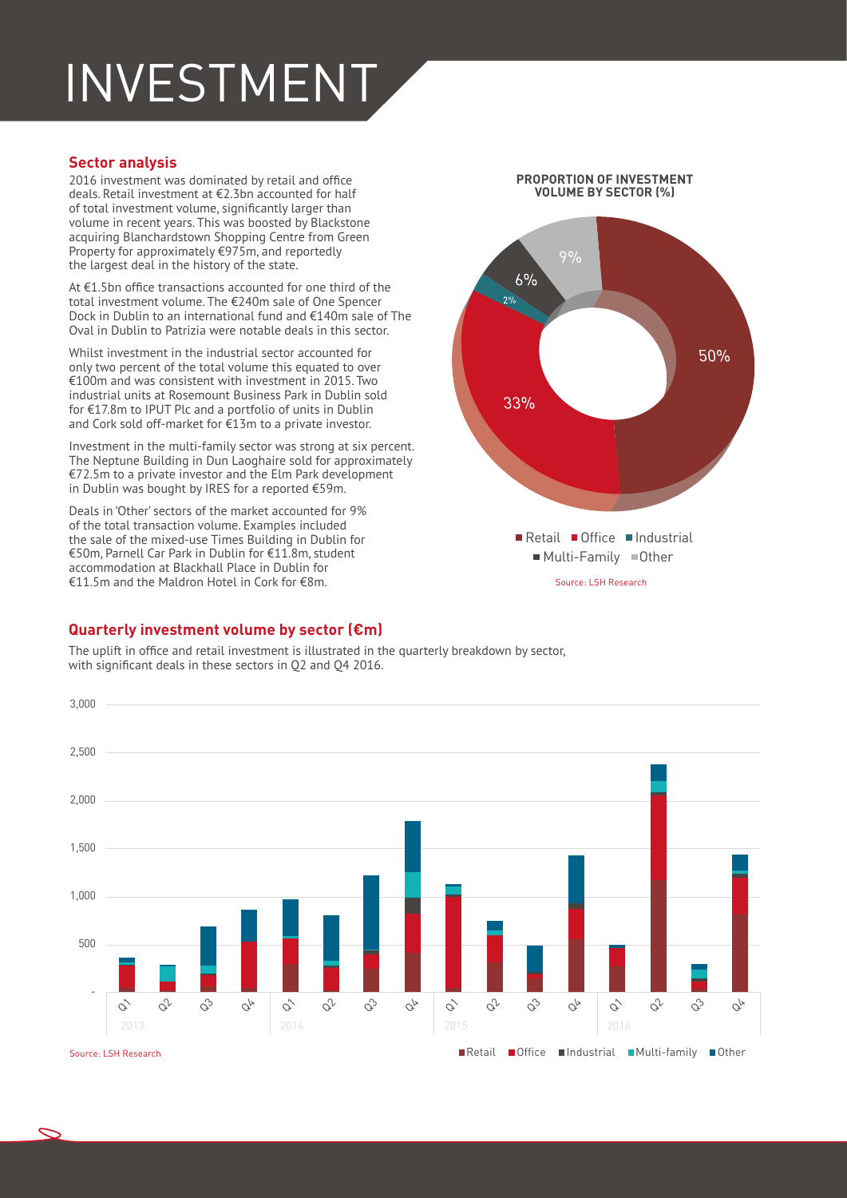# INVESTMENT

#### **Sector analysis**

2016 investment was dominated by retail and office deals. Retail investment at €2.3bn accounted for half of total investment volume, significantly larger than volume in recent years. This was boosted by Blackstone acquiring Blanchardstown Shopping Centre from Green Property for approximately €975m, and reportedly the largest deal in the history of the state.

At €1.5bn office transactions accounted for one third of the total investment volume. The €240m sale of One Spencer Dock in Dublin to an international fund and €140m sale of The Oval in Dublin to Patrizia were notable deals in this sector.

Whilst investment in the industrial sector accounted for only two percent of the total volume this equated to over €100m and was consistent with investment in 2015. Two industrial units at Rosemount Business Park in Dublin sold for €17.8m to IPUT Plc and a portfolio of units in Dublin and Cork sold off-market for €13m to a private investor.

Investment in the multi-family sector was strong at six percent. The Neptune Building in Dun Laoghaire sold for approximately €72.5m to a private investor and the Elm Park development in Dublin was bought by IRES for a reported €59m.

Deals in 'Other' sectors of the market accounted for 9% of the total transaction volume. Examples included the sale of the mixed-use Times Building in Dublin for €50m, Parnell Car Park in Dublin for €11.8m, student accommodation at Blackhall Place in Dublin for €11.5m and the Maldron Hotel in Cork for €8m.

#### **PROPORTION OF INVESTMENT VOLUME BY SECTOR (%)**



#### **Quarterly investment volume by sector (€m)**

The uplift in office and retail investment is illustrated in the quarterly breakdown by sector, with significant deals in these sectors in Q2 and Q4 2016.

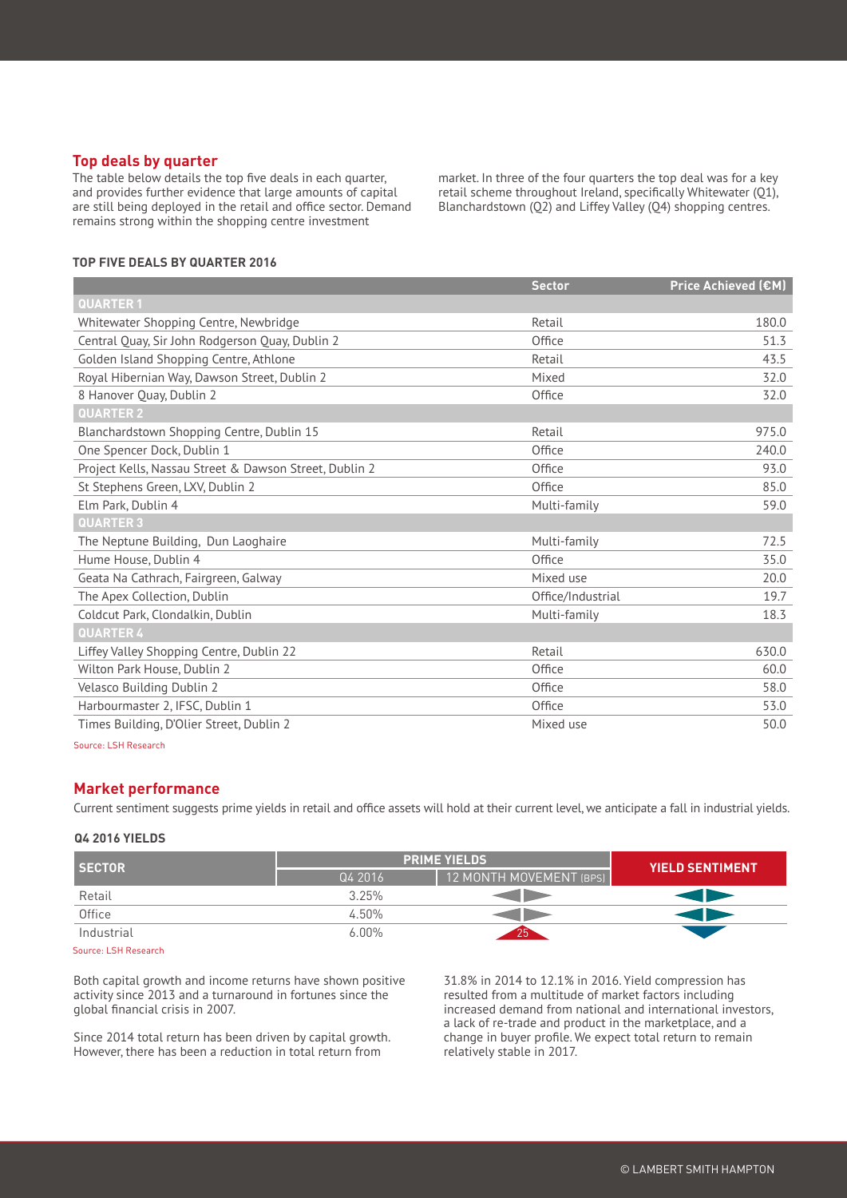#### **Top deals by quarter**

The table below details the top five deals in each quarter, and provides further evidence that large amounts of capital are still being deployed in the retail and office sector. Demand remains strong within the shopping centre investment

market. In three of the four quarters the top deal was for a key retail scheme throughout Ireland, specifically Whitewater (Q1), Blanchardstown (Q2) and Liffey Valley (Q4) shopping centres.

#### **TOP FIVE DEALS BY QUARTER 2016**

|                                                        | <b>Sector</b>     | <b>Price Achieved (€M)</b> |
|--------------------------------------------------------|-------------------|----------------------------|
| <b>QUARTER1</b>                                        |                   |                            |
| Whitewater Shopping Centre, Newbridge                  | Retail            | 180.0                      |
| Central Quay, Sir John Rodgerson Quay, Dublin 2        | Office            | 51.3                       |
| Golden Island Shopping Centre, Athlone                 | Retail            | 43.5                       |
| Royal Hibernian Way, Dawson Street, Dublin 2           | Mixed             | 32.0                       |
| 8 Hanover Quay, Dublin 2                               | Office            | 32.0                       |
| <b>QUARTER 2</b>                                       |                   |                            |
| Blanchardstown Shopping Centre, Dublin 15              | Retail            | 975.0                      |
| One Spencer Dock, Dublin 1                             | Office            | 240.0                      |
| Project Kells, Nassau Street & Dawson Street, Dublin 2 | Office            | 93.0                       |
| St Stephens Green, LXV, Dublin 2                       | Office            | 85.0                       |
| Elm Park, Dublin 4                                     | Multi-family      | 59.0                       |
| <b>QUARTER 3</b>                                       |                   |                            |
| The Neptune Building, Dun Laoghaire                    | Multi-family      | 72.5                       |
| Hume House, Dublin 4                                   | Office            | 35.0                       |
| Geata Na Cathrach, Fairgreen, Galway                   | Mixed use         | 20.0                       |
| The Apex Collection, Dublin                            | Office/Industrial | 19.7                       |
| Coldcut Park, Clondalkin, Dublin                       | Multi-family      | 18.3                       |
| <b>QUARTER 4</b>                                       |                   |                            |
| Liffey Valley Shopping Centre, Dublin 22               | Retail            | 630.0                      |
| Wilton Park House, Dublin 2                            | Office            | 60.0                       |
| Velasco Building Dublin 2                              | Office            | 58.0                       |
| Harbourmaster 2, IFSC, Dublin 1                        | Office            | 53.0                       |
| Times Building, D'Olier Street, Dublin 2               | Mixed use         | 50.0                       |

Source: LSH Research

#### **Market performance**

Current sentiment suggests prime yields in retail and office assets will hold at their current level, we anticipate a fall in industrial yields.

#### **Q4 2016 YIELDS**

| <b>SECTOR</b> | <b>PRIME YIELDS</b> |                         | <b>YIELD SENTIMENT</b> |
|---------------|---------------------|-------------------------|------------------------|
|               | Q4 2016             | 12 MONTH MOVEMENT (BPS) |                        |
| Retail        | 3.25%               |                         |                        |
| Office        | 4.50%               |                         |                        |
| Industrial    | $6.00\%$            | 75.                     |                        |

Source: LSH Research

Both capital growth and income returns have shown positive activity since 2013 and a turnaround in fortunes since the global financial crisis in 2007.

Since 2014 total return has been driven by capital growth. However, there has been a reduction in total return from

31.8% in 2014 to 12.1% in 2016. Yield compression has resulted from a multitude of market factors including increased demand from national and international investors, a lack of re-trade and product in the marketplace, and a change in buyer profile. We expect total return to remain relatively stable in 2017.